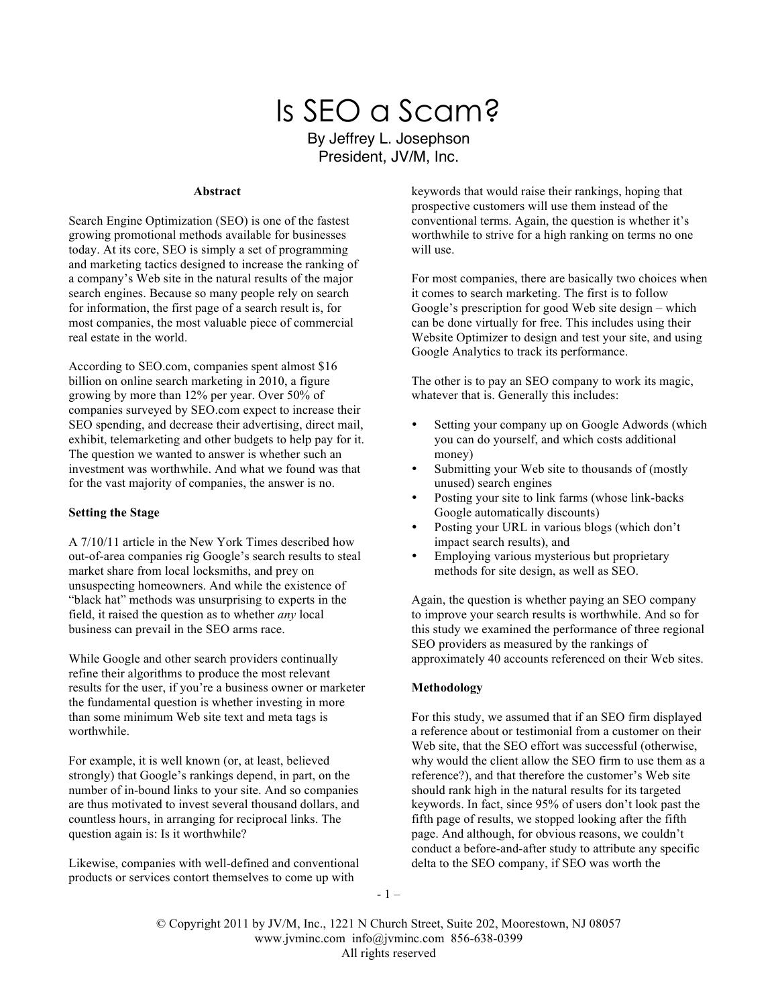# Is SEO a Scam? By Jeffrey L. Josephson

President, JV/M, Inc.

#### **Abstract**

Search Engine Optimization (SEO) is one of the fastest growing promotional methods available for businesses today. At its core, SEO is simply a set of programming and marketing tactics designed to increase the ranking of a company's Web site in the natural results of the major search engines. Because so many people rely on search for information, the first page of a search result is, for most companies, the most valuable piece of commercial real estate in the world.

According to SEO.com, companies spent almost \$16 billion on online search marketing in 2010, a figure growing by more than 12% per year. Over 50% of companies surveyed by SEO.com expect to increase their SEO spending, and decrease their advertising, direct mail, exhibit, telemarketing and other budgets to help pay for it. The question we wanted to answer is whether such an investment was worthwhile. And what we found was that for the vast majority of companies, the answer is no.

#### **Setting the Stage**

A 7/10/11 article in the New York Times described how out-of-area companies rig Google's search results to steal market share from local locksmiths, and prey on unsuspecting homeowners. And while the existence of "black hat" methods was unsurprising to experts in the field, it raised the question as to whether *any* local business can prevail in the SEO arms race.

While Google and other search providers continually refine their algorithms to produce the most relevant results for the user, if you're a business owner or marketer the fundamental question is whether investing in more than some minimum Web site text and meta tags is worthwhile.

For example, it is well known (or, at least, believed strongly) that Google's rankings depend, in part, on the number of in-bound links to your site. And so companies are thus motivated to invest several thousand dollars, and countless hours, in arranging for reciprocal links. The question again is: Is it worthwhile?

Likewise, companies with well-defined and conventional products or services contort themselves to come up with

keywords that would raise their rankings, hoping that prospective customers will use them instead of the conventional terms. Again, the question is whether it's worthwhile to strive for a high ranking on terms no one will use.

For most companies, there are basically two choices when it comes to search marketing. The first is to follow Google's prescription for good Web site design – which can be done virtually for free. This includes using their Website Optimizer to design and test your site, and using Google Analytics to track its performance.

The other is to pay an SEO company to work its magic, whatever that is. Generally this includes:

- Setting your company up on Google Adwords (which you can do yourself, and which costs additional money)
- Submitting your Web site to thousands of (mostly unused) search engines
- Posting your site to link farms (whose link-backs Google automatically discounts)
- Posting your URL in various blogs (which don't impact search results), and
- Employing various mysterious but proprietary methods for site design, as well as SEO.

Again, the question is whether paying an SEO company to improve your search results is worthwhile. And so for this study we examined the performance of three regional SEO providers as measured by the rankings of approximately 40 accounts referenced on their Web sites.

#### **Methodology**

For this study, we assumed that if an SEO firm displayed a reference about or testimonial from a customer on their Web site, that the SEO effort was successful (otherwise, why would the client allow the SEO firm to use them as a reference?), and that therefore the customer's Web site should rank high in the natural results for its targeted keywords. In fact, since 95% of users don't look past the fifth page of results, we stopped looking after the fifth page. And although, for obvious reasons, we couldn't conduct a before-and-after study to attribute any specific delta to the SEO company, if SEO was worth the

- 1 –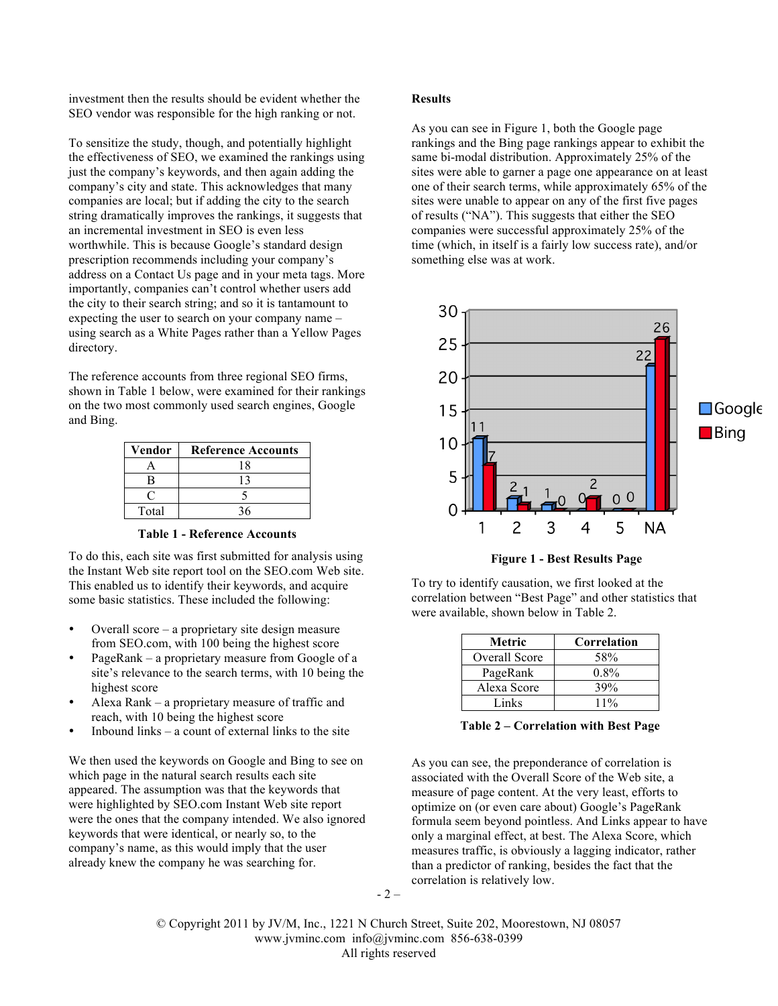investment then the results should be evident whether the SEO vendor was responsible for the high ranking or not.

To sensitize the study, though, and potentially highlight the effectiveness of SEO, we examined the rankings using just the company's keywords, and then again adding the company's city and state. This acknowledges that many companies are local; but if adding the city to the search string dramatically improves the rankings, it suggests that an incremental investment in SEO is even less worthwhile. This is because Google's standard design prescription recommends including your company's address on a Contact Us page and in your meta tags. More importantly, companies can't control whether users add the city to their search string; and so it is tantamount to expecting the user to search on your company name – using search as a White Pages rather than a Yellow Pages directory.

The reference accounts from three regional SEO firms, shown in Table 1 below, were examined for their rankings on the two most commonly used search engines, Google and Bing.

| Vendor | <b>Reference Accounts</b> |
|--------|---------------------------|
|        | 18                        |
|        |                           |
|        |                           |
| Total  |                           |

**Table 1 - Reference Accounts**

To do this, each site was first submitted for analysis using the Instant Web site report tool on the SEO.com Web site. This enabled us to identify their keywords, and acquire some basic statistics. These included the following:

- Overall score a proprietary site design measure from SEO.com, with 100 being the highest score
- PageRank a proprietary measure from Google of a site's relevance to the search terms, with 10 being the highest score
- Alexa Rank a proprietary measure of traffic and reach, with 10 being the highest score
- Inbound links a count of external links to the site

We then used the keywords on Google and Bing to see on which page in the natural search results each site appeared. The assumption was that the keywords that were highlighted by SEO.com Instant Web site report were the ones that the company intended. We also ignored keywords that were identical, or nearly so, to the company's name, as this would imply that the user already knew the company he was searching for.

### **Results**

As you can see in Figure 1, both the Google page rankings and the Bing page rankings appear to exhibit the same bi-modal distribution. Approximately 25% of the sites were able to garner a page one appearance on at least one of their search terms, while approximately 65% of the sites were unable to appear on any of the first five pages of results ("NA"). This suggests that either the SEO companies were successful approximately 25% of the time (which, in itself is a fairly low success rate), and/or something else was at work.



To try to identify causation, we first looked at the correlation between "Best Page" and other statistics that were available, shown below in Table 2.

| Metric        | Correlation |
|---------------|-------------|
| Overall Score | 58%         |
| PageRank      | $0.8\%$     |
| Alexa Score   | 39%         |
| Links         | $11\%$      |

**Table 2 – Correlation with Best Page**

As you can see, the preponderance of correlation is associated with the Overall Score of the Web site, a measure of page content. At the very least, efforts to optimize on (or even care about) Google's PageRank formula seem beyond pointless. And Links appear to have only a marginal effect, at best. The Alexa Score, which measures traffic, is obviously a lagging indicator, rather than a predictor of ranking, besides the fact that the correlation is relatively low.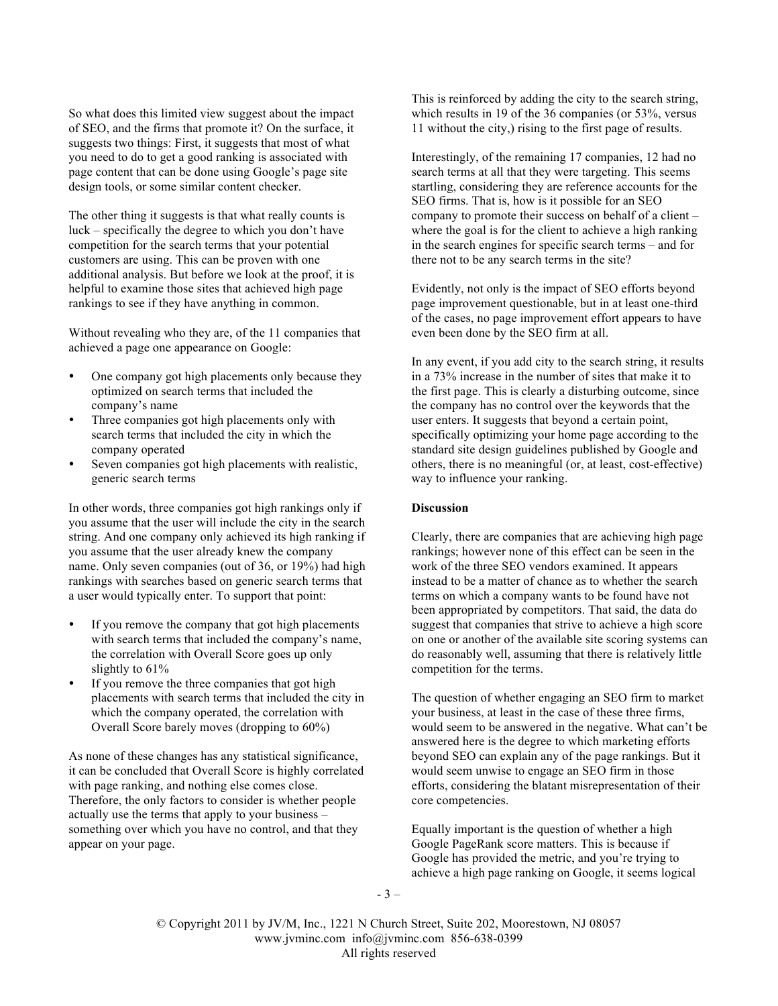So what does this limited view suggest about the impact of SEO, and the firms that promote it? On the surface, it suggests two things: First, it suggests that most of what you need to do to get a good ranking is associated with page content that can be done using Google's page site design tools, or some similar content checker.

The other thing it suggests is that what really counts is luck – specifically the degree to which you don't have competition for the search terms that your potential customers are using. This can be proven with one additional analysis. But before we look at the proof, it is helpful to examine those sites that achieved high page rankings to see if they have anything in common.

Without revealing who they are, of the 11 companies that achieved a page one appearance on Google:

- One company got high placements only because they optimized on search terms that included the company's name
- Three companies got high placements only with search terms that included the city in which the company operated
- Seven companies got high placements with realistic, generic search terms

In other words, three companies got high rankings only if you assume that the user will include the city in the search string. And one company only achieved its high ranking if you assume that the user already knew the company name. Only seven companies (out of 36, or 19%) had high rankings with searches based on generic search terms that a user would typically enter. To support that point:

- If you remove the company that got high placements with search terms that included the company's name, the correlation with Overall Score goes up only slightly to 61%
- If you remove the three companies that got high placements with search terms that included the city in which the company operated, the correlation with Overall Score barely moves (dropping to 60%)

As none of these changes has any statistical significance, it can be concluded that Overall Score is highly correlated with page ranking, and nothing else comes close. Therefore, the only factors to consider is whether people actually use the terms that apply to your business – something over which you have no control, and that they appear on your page.

This is reinforced by adding the city to the search string, which results in 19 of the 36 companies (or 53%, versus 11 without the city,) rising to the first page of results.

Interestingly, of the remaining 17 companies, 12 had no search terms at all that they were targeting. This seems startling, considering they are reference accounts for the SEO firms. That is, how is it possible for an SEO company to promote their success on behalf of a client – where the goal is for the client to achieve a high ranking in the search engines for specific search terms – and for there not to be any search terms in the site?

Evidently, not only is the impact of SEO efforts beyond page improvement questionable, but in at least one-third of the cases, no page improvement effort appears to have even been done by the SEO firm at all.

In any event, if you add city to the search string, it results in a 73% increase in the number of sites that make it to the first page. This is clearly a disturbing outcome, since the company has no control over the keywords that the user enters. It suggests that beyond a certain point, specifically optimizing your home page according to the standard site design guidelines published by Google and others, there is no meaningful (or, at least, cost-effective) way to influence your ranking.

## **Discussion**

Clearly, there are companies that are achieving high page rankings; however none of this effect can be seen in the work of the three SEO vendors examined. It appears instead to be a matter of chance as to whether the search terms on which a company wants to be found have not been appropriated by competitors. That said, the data do suggest that companies that strive to achieve a high score on one or another of the available site scoring systems can do reasonably well, assuming that there is relatively little competition for the terms.

The question of whether engaging an SEO firm to market your business, at least in the case of these three firms, would seem to be answered in the negative. What can't be answered here is the degree to which marketing efforts beyond SEO can explain any of the page rankings. But it would seem unwise to engage an SEO firm in those efforts, considering the blatant misrepresentation of their core competencies.

Equally important is the question of whether a high Google PageRank score matters. This is because if Google has provided the metric, and you're trying to achieve a high page ranking on Google, it seems logical